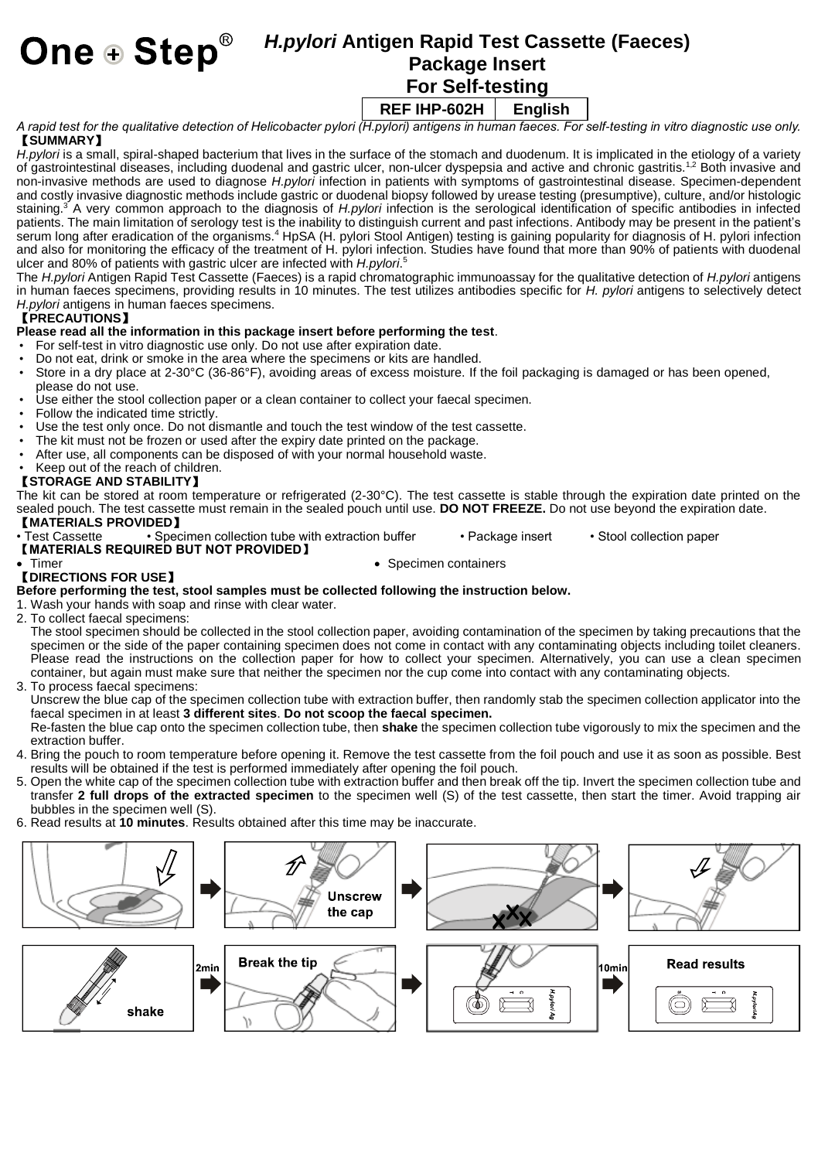# *H.pylori* **Antigen Rapid Test Cassette (Faeces) Package Insert**

 **For Self-testing**

**REF IHP-602H English**

*A rapid test for the qualitative detection of Helicobacter pylori (H.pylori) antigens in human faeces. For self-testing in vitro diagnostic use only.* 【**SUMMARY**】

*H.pylori* is a small, spiral-shaped bacterium that lives in the surface of the stomach and duodenum. It is implicated in the etiology of a variety of gastrointestinal diseases, including duodenal and gastric ulcer, non-ulcer dyspepsia and active and chronic gastritis.<sup>1,2</sup> Both invasive and non-invasive methods are used to diagnose *H.pylori* infection in patients with symptoms of gastrointestinal disease. Specimen-dependent and costly invasive diagnostic methods include gastric or duodenal biopsy followed by urease testing (presumptive), culture, and/or histologic staining.<sup>3</sup> A very common approach to the diagnosis of *H.pylori* infection is the serological identification of specific antibodies in infected patients. The main limitation of serology test is the inability to distinguish current and past infections. Antibody may be present in the patient's serum long after eradication of the organisms.<sup>4</sup> HpSA (H. pylori Stool Antigen) testing is gaining popularity for diagnosis of H. pylori infection and also for monitoring the efficacy of the treatment of H. pylori infection. Studies have found that more than 90% of patients with duodenal ulcer and 80% of patients with gastric ulcer are infected with *H.pylori*. 5

The *H.pylori* Antigen Rapid Test Cassette (Faeces) is a rapid chromatographic immunoassay for the qualitative detection of *H.pylori* antigens in human faeces specimens, providing results in 10 minutes. The test utilizes antibodies specific for *H. pylori* antigens to selectively detect *H.pylori* antigens in human faeces specimens.

## 【**PRECAUTIONS**】

### **Please read all the information in this package insert before performing the test**.

- For self-test in vitro diagnostic use only. Do not use after expiration date.
- Do not eat, drink or smoke in the area where the specimens or kits are handled.<br>• Store in a dry place at 2-30°C (36-86°E), avoiding areas of excess moisture. If it
- Store in a dry place at 2-30°C (36-86°F), avoiding areas of excess moisture. If the foil packaging is damaged or has been opened, please do not use.
- Use either the stool collection paper or a clean container to collect your faecal specimen.
- Follow the indicated time strictly.<br>• Use the test only once Do not div
- Use the test only once. Do not dismantle and touch the test window of the test cassette.
- The kit must not be frozen or used after the expiry date printed on the package.
- After use, all components can be disposed of with your normal household waste.
- Keep out of the reach of children.

## 【**STORAGE AND STABILITY**】

The kit can be stored at room temperature or refrigerated (2-30°C). The test cassette is stable through the expiration date printed on the sealed pouch. The test cassette must remain in the sealed pouch until use. **DO NOT FREEZE.** Do not use beyond the expiration date.

- 【**MATERIALS PROVIDED**】
- Specimen collection tube with extraction buffer Package insert Stool collection paper
- 【**MATERIALS REQUIRED BUT NOT PROVIDED**】
- 

• Specimen containers

#### 【**DIRECTIONS FOR USE**】 **Before performing the test, stool samples must be collected following the instruction below.**

- 1. Wash your hands with soap and rinse with clear water.
- 2. To collect faecal specimens:

The stool specimen should be collected in the stool collection paper, avoiding contamination of the specimen by taking precautions that the specimen or the side of the paper containing specimen does not come in contact with any contaminating objects including toilet cleaners. Please read the instructions on the collection paper for how to collect your specimen. Alternatively, you can use a clean specimen container, but again must make sure that neither the specimen nor the cup come into contact with any contaminating objects.

3. To process faecal specimens:

Unscrew the blue cap of the specimen collection tube with extraction buffer, then randomly stab the specimen collection applicator into the faecal specimen in at least **3 different sites**. **Do not scoop the faecal specimen.**

Re-fasten the blue cap onto the specimen collection tube, then **shake** the specimen collection tube vigorously to mix the specimen and the extraction buffer.

- 4. Bring the pouch to room temperature before opening it. Remove the test cassette from the foil pouch and use it as soon as possible. Best results will be obtained if the test is performed immediately after opening the foil pouch.
- 5. Open the white cap of the specimen collection tube with extraction buffer and then break off the tip. Invert the specimen collection tube and transfer **2 full drops of the extracted specimen** to the specimen well (S) of the test cassette, then start the timer. Avoid trapping air bubbles in the specimen well (S).
- 6. Read results at **10 minutes**. Results obtained after this time may be inaccurate.